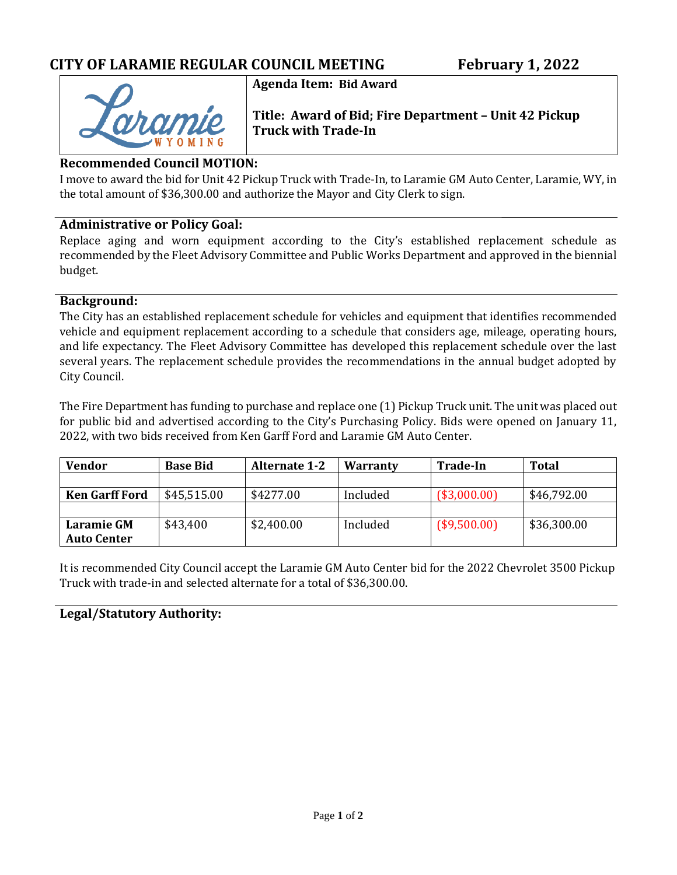# **Agenda Item: Bid Award**

**Title: Award of Bid; Fire Department – Unit 42 Pickup Truck with Trade-In**

#### **Recommended Council MOTION:**

I move to award the bid for Unit 42 Pickup Truck with Trade-In, to Laramie GM Auto Center, Laramie, WY, in the total amount of \$36,300.00 and authorize the Mayor and City Clerk to sign.

#### **Administrative or Policy Goal:**

Replace aging and worn equipment according to the City's established replacement schedule as recommended by the Fleet Advisory Committee and Public Works Department and approved in the biennial budget.

#### **Background:**

The City has an established replacement schedule for vehicles and equipment that identifies recommended vehicle and equipment replacement according to a schedule that considers age, mileage, operating hours, and life expectancy. The Fleet Advisory Committee has developed this replacement schedule over the last several years. The replacement schedule provides the recommendations in the annual budget adopted by City Council.

The Fire Department has funding to purchase and replace one (1) Pickup Truck unit. The unit was placed out for public bid and advertised according to the City's Purchasing Policy. Bids were opened on January 11, 2022, with two bids received from Ken Garff Ford and Laramie GM Auto Center.

| Vendor                | <b>Base Bid</b> | <b>Alternate 1-2</b> | <b>Warranty</b> | <b>Trade-In</b> | <b>Total</b> |
|-----------------------|-----------------|----------------------|-----------------|-----------------|--------------|
|                       |                 |                      |                 |                 |              |
| <b>Ken Garff Ford</b> | \$45,515.00     | \$4277.00            | Included        | (\$3,000.00)    | \$46,792.00  |
|                       |                 |                      |                 |                 |              |
| <b>Laramie GM</b>     | \$43,400        | \$2,400.00           | Included        | (\$9,500.00)    | \$36,300.00  |
| <b>Auto Center</b>    |                 |                      |                 |                 |              |

It is recommended City Council accept the Laramie GM Auto Center bid for the 2022 Chevrolet 3500 Pickup Truck with trade-in and selected alternate for a total of \$36,300.00.

#### **Legal/Statutory Authority:**